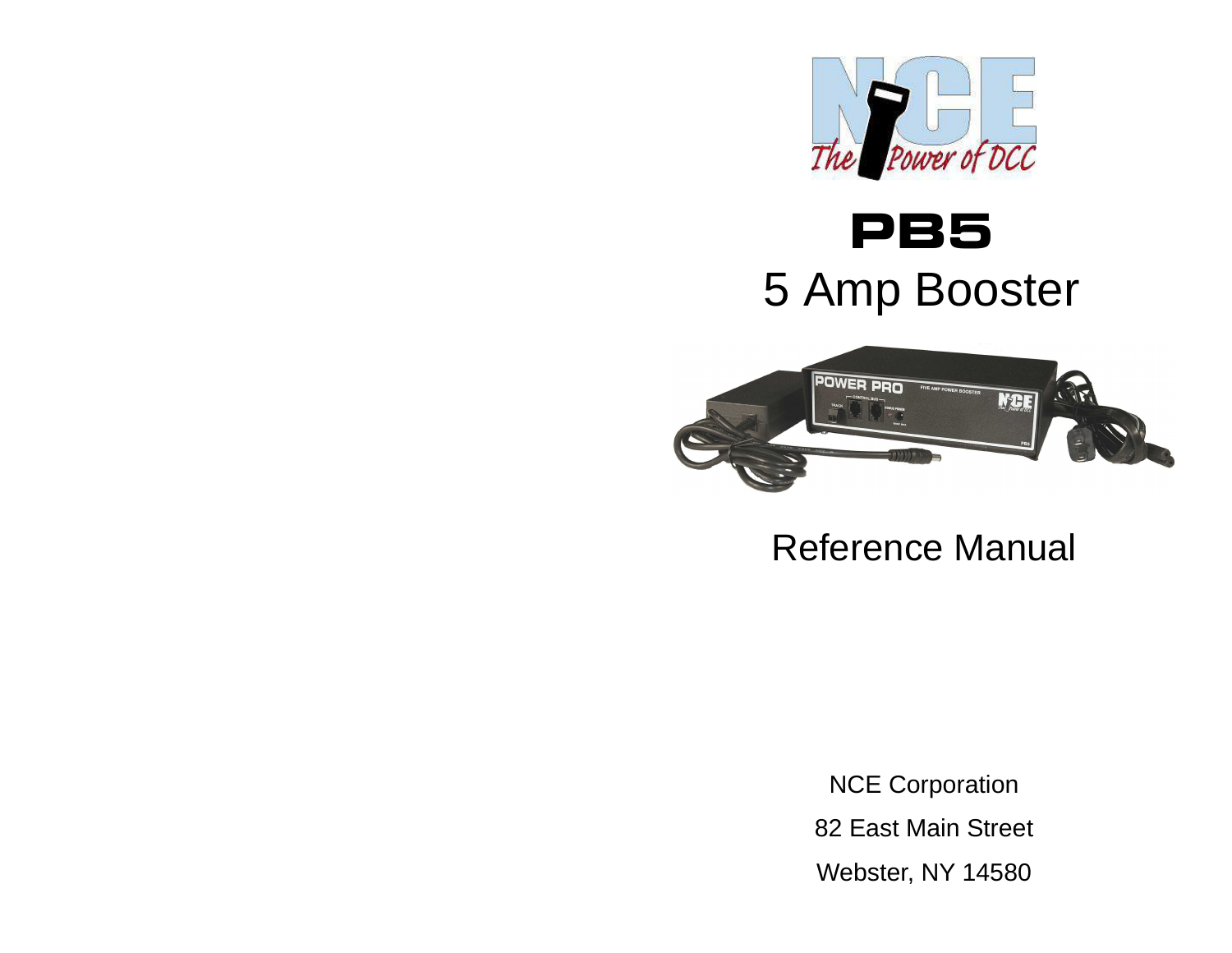

# PB55 Amp Booster



Reference Manual

NCE Corporation82 East Main StreetWebster, NY 14580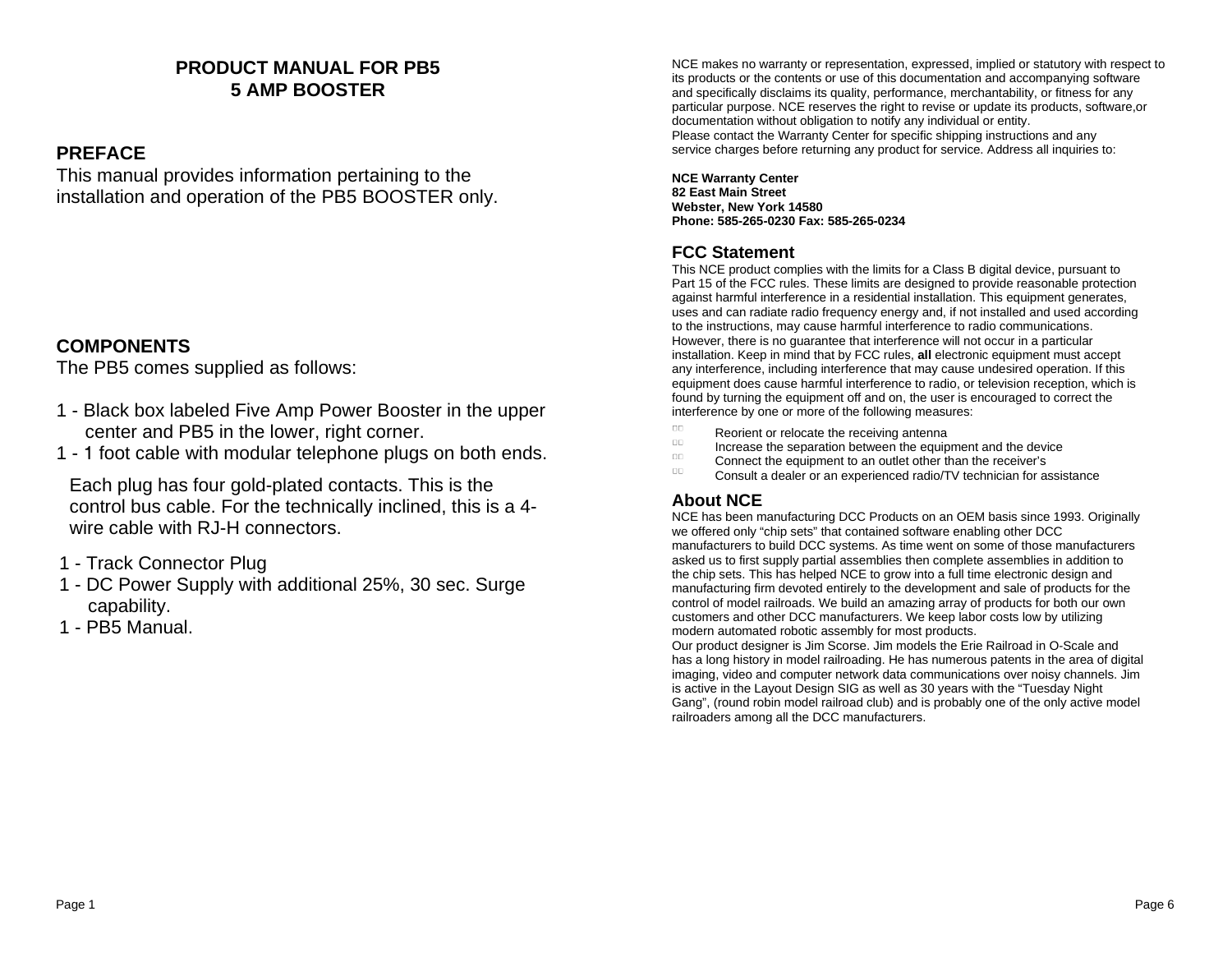#### **PRODUCT MANUAL FOR PB5 5 AMP BOOSTER**

#### **PREFACE**

 This manual provides information pertaining to the installation and operation of the PB5 BOOSTER only.

### **COMPONENTS**

The PB5 comes supplied as follows:

- 1 Black box labeled Five Amp Power Booster in the upper center and PB5 in the lower, right corner.
- 1 1 foot cable with modular telephone plugs on both ends.

Each plug has four gold-plated contacts. This is the control bus cable. For the technically inclined, this is a 4wire cable with RJ-H connectors.

- 1 Track Connector Plug
- 1 DC Power Supply with additional 25%, 30 sec. Surge capability.
- 1 PB5 Manual.

NCE makes no warranty or representation, expressed, implied or statutory with respect to its products or the contents or use of this documentation and accompanying software and specifically disclaims its quality, performance, merchantability, or fitness for any particular purpose. NCE reserves the right to revise or update its products, software,or documentation without obligation to notify any individual or entity. Please contact the Warranty Center for specific shipping instructions and anyservice charges before returning any product for service. Address all inquiries to:

**NCE Warranty Center82 East Main Street Webster, New York 14580Phone: 585-265-0230 Fax: 585-265-0234**

### **FCC Statement**

 This NCE product complies with the limits for a Class B digital device, pursuant to Part 15 of the FCC rules. These limits are designed to provide reasonable protectionagainst harmful interference in a residential installation. This equipment generates, uses and can radiate radio frequency energy and, if not installed and used accordingto the instructions, may cause harmful interference to radio communications. However, there is no guarantee that interference will not occur in a particular installation. Keep in mind that by FCC rules, **all** electronic equipment must accept any interference, including interference that may cause undesired operation. If this equipment does cause harmful interference to radio, or television reception, which isfound by turning the equipment off and on, the user is encouraged to correct theinterference by one or more of the following measures:

- ПE Reorient or relocate the receiving antenna
- $\cup$  . Increase the separation between the equipment and the device
- $\Box\Box$ Connect the equipment to an outlet other than the receiver's
- UL. Consult a dealer or an experienced radio/TV technician for assistance

#### **About NCE**

 NCE has been manufacturing DCC Products on an OEM basis since 1993. Originallywe offered only "chip sets" that contained software enabling other DCC manufacturers to build DCC systems. As time went on some of those manufacturersasked us to first supply partial assemblies then complete assemblies in addition tothe chip sets. This has helped NCE to grow into a full time electronic design and manufacturing firm devoted entirely to the development and sale of products for the control of model railroads. We build an amazing array of products for both our owncustomers and other DCC manufacturers. We keep labor costs low by utilizingmodern automated robotic assembly for most products. Our product designer is Jim Scorse. Jim models the Erie Railroad in O-Scale and has a long history in model railroading. He has numerous patents in the area of digital imaging, video and computer network data communications over noisy channels. Jimis active in the Layout Design SIG as well as 30 years with the "Tuesday Night Gang", (round robin model railroad club) and is probably one of the only active modelrailroaders among all the DCC manufacturers.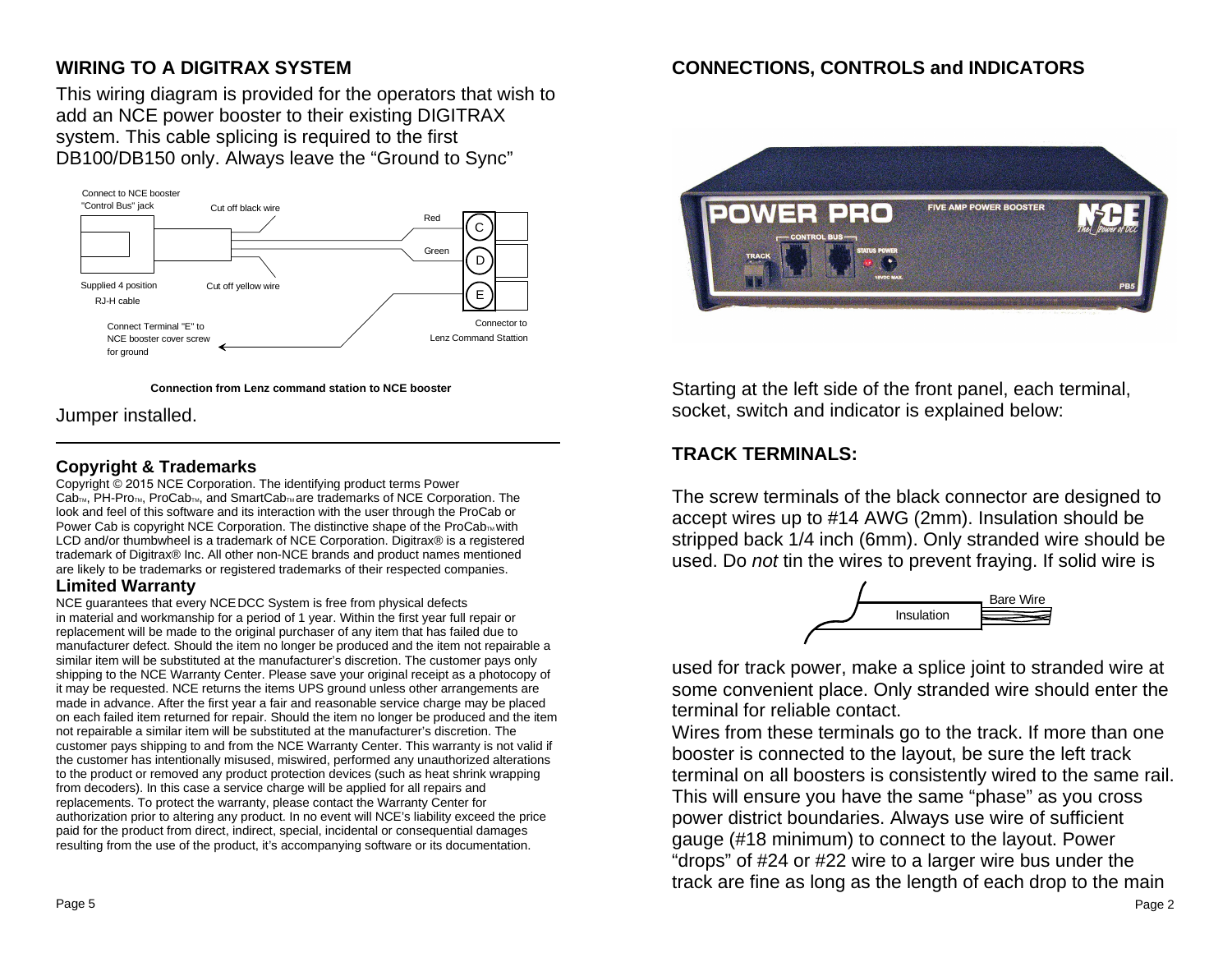## **WIRING TO A DIGITRAX SYSTEM**

 This wiring diagram is provided for the operators that wish to add an NCE power booster to their existing DIGITRAX system. This cable splicing is required to the first DB100/DB150 only. Always leave the "Ground to Sync"



**Connection from Lenz command station to NCE booster**

Jumper installed.

#### **Copyright & Trademarks**

 Copyright © 2015 NCE Corporation. The identifying product terms Power Cab<sub>TM</sub>, PH-Pro<sub>TM</sub>, ProCab<sub>TM</sub>, and SmartCab<sub>TM</sub> are trademarks of NCE Corporation. The look and feel of this software and its interaction with the user through the ProCab orPower Cab is copyright NCE Corporation. The distinctive shape of the ProCabm with LCD and/or thumbwheel is a trademark of NCE Corporation. Digitrax® is a registered trademark of Digitrax® Inc. All other non-NCE brands and product names mentionedare likely to be trademarks or registered trademarks of their respected companies.

#### **Limited Warranty**

 NCE guarantees that every NCEDCC System is free from physical defects in material and workmanship for a period of 1 year. Within the first year full repair or replacement will be made to the original purchaser of any item that has failed due to manufacturer defect. Should the item no longer be produced and the item not repairable a similar item will be substituted at the manufacturer's discretion. The customer pays only shipping to the NCE Warranty Center. Please save your original receipt as a photocopy of it may be requested. NCE returns the items UPS ground unless other arrangements are made in advance. After the first year a fair and reasonable service charge may be placed on each failed item returned for repair. Should the item no longer be produced and the item not repairable a similar item will be substituted at the manufacturer's discretion. The customer pays shipping to and from the NCE Warranty Center. This warranty is not valid if the customer has intentionally misused, miswired, performed any unauthorized alterations to the product or removed any product protection devices (such as heat shrink wrapping from decoders). In this case a service charge will be applied for all repairs and replacements. To protect the warranty, please contact the Warranty Center for authorization prior to altering any product. In no event will NCE's liability exceed the price paid for the product from direct, indirect, special, incidental or consequential damages resulting from the use of the product, it's accompanying software or its documentation.

## **CONNECTIONS, CONTROLS and INDICATORS**



Starting at the left side of the front panel, each terminal, socket, switch and indicator is explained below:

## **TRACK TERMINALS:**

The screw terminals of the black connector are designed to accept wires up to #14 AWG (2mm). Insulation should be stripped back 1/4 inch (6mm). Only stranded wire should be used. Do not tin the wires to prevent fraying. If solid wire is



used for track power, make a splice joint to stranded wire at some convenient place. Only stranded wire should enter the terminal for reliable contact.

 Wires from these terminals go to the track. If more than one booster is connected to the layout, be sure the left track terminal on all boosters is consistently wired to the same rail.This will ensure you have the same "phase" as you cross power district boundaries. Always use wire of sufficient gauge (#18 minimum) to connect to the layout. Power "drops" of #24 or #22 wire to a larger wire bus under the track are fine as long as the length of each drop to the main